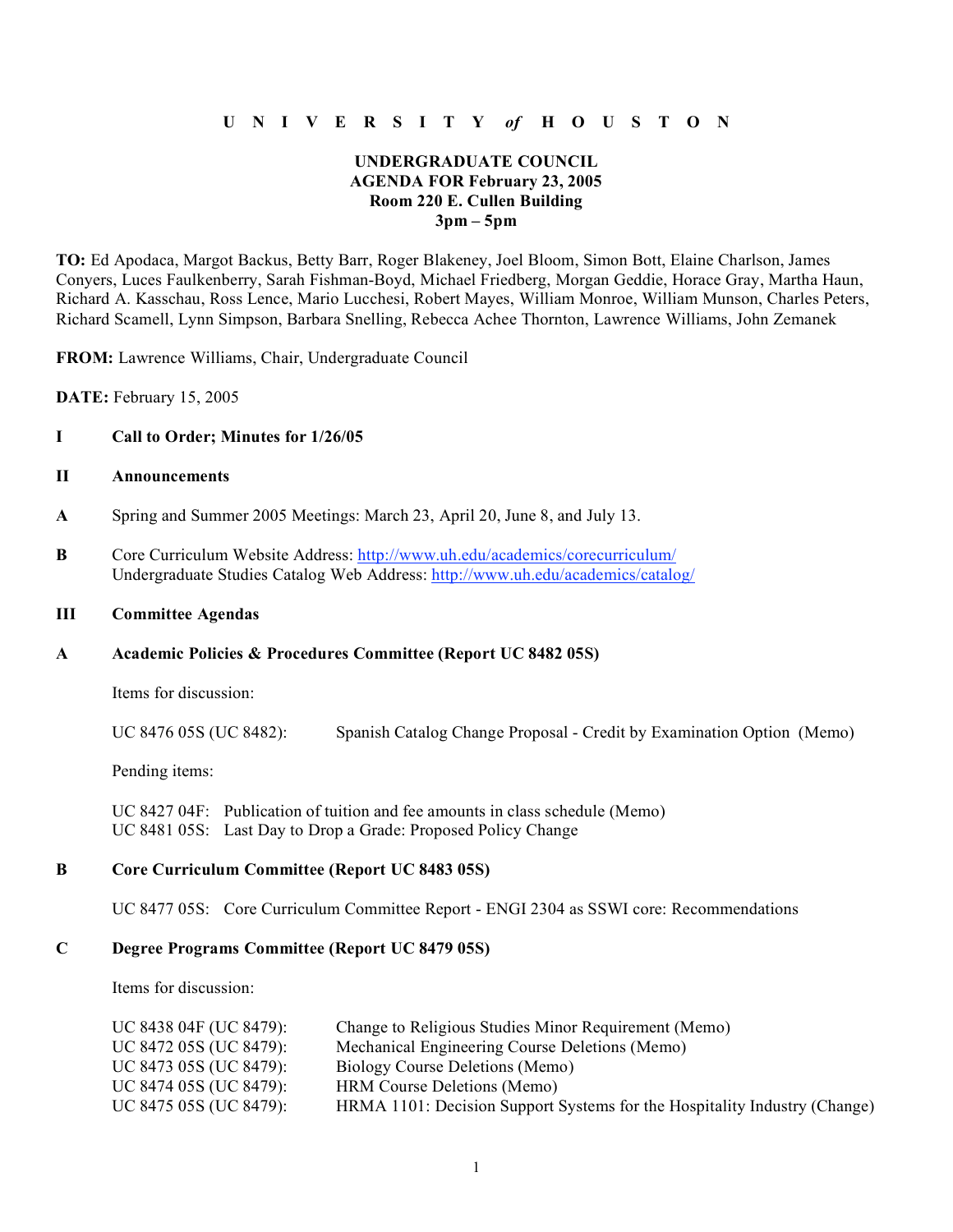## **U N I V E R S I T Y** *of* **H O U S T O N**

## **UNDERGRADUATE COUNCIL AGENDA FOR February 23, 2005 Room 220 E. Cullen Building 3pm – 5pm**

**TO:** Ed Apodaca, Margot Backus, Betty Barr, Roger Blakeney, Joel Bloom, Simon Bott, Elaine Charlson, James Conyers, Luces Faulkenberry, Sarah Fishman-Boyd, Michael Friedberg, Morgan Geddie, Horace Gray, Martha Haun, Richard A. Kasschau, Ross Lence, Mario Lucchesi, Robert Mayes, William Monroe, William Munson, Charles Peters, Richard Scamell, Lynn Simpson, Barbara Snelling, Rebecca Achee Thornton, Lawrence Williams, John Zemanek

**FROM:** Lawrence Williams, Chair, Undergraduate Council

**DATE:** February 15, 2005

### **I Call to Order; Minutes for 1/26/05**

- **II Announcements**
- **A** Spring and Summer 2005 Meetings: March 23, April 20, June 8, and July 13.
- **B** Core Curriculum Website Address: http://www.uh.edu/academics/corecurriculum/ Undergraduate Studies Catalog Web Address: http://www.uh.edu/academics/catalog/

#### **III Committee Agendas**

#### **A Academic Policies & Procedures Committee (Report UC 8482 05S)**

Items for discussion:

UC 8476 05S (UC 8482): Spanish Catalog Change Proposal - Credit by Examination Option (Memo)

Pending items:

UC 8427 04F: Publication of tuition and fee amounts in class schedule (Memo) UC 8481 05S: Last Day to Drop a Grade: Proposed Policy Change

#### **B Core Curriculum Committee (Report UC 8483 05S)**

UC 8477 05S: Core Curriculum Committee Report - ENGI 2304 as SSWI core: Recommendations

### **C Degree Programs Committee (Report UC 8479 05S)**

Items for discussion:

| UC 8438 04F (UC 8479): | Change to Religious Studies Minor Requirement (Memo)                      |
|------------------------|---------------------------------------------------------------------------|
| UC 8472 05S (UC 8479): | Mechanical Engineering Course Deletions (Memo)                            |
| UC 8473 05S (UC 8479): | Biology Course Deletions (Memo)                                           |
| UC 8474 05S (UC 8479): | <b>HRM</b> Course Deletions (Memo)                                        |
| UC 8475 05S (UC 8479): | HRMA 1101: Decision Support Systems for the Hospitality Industry (Change) |